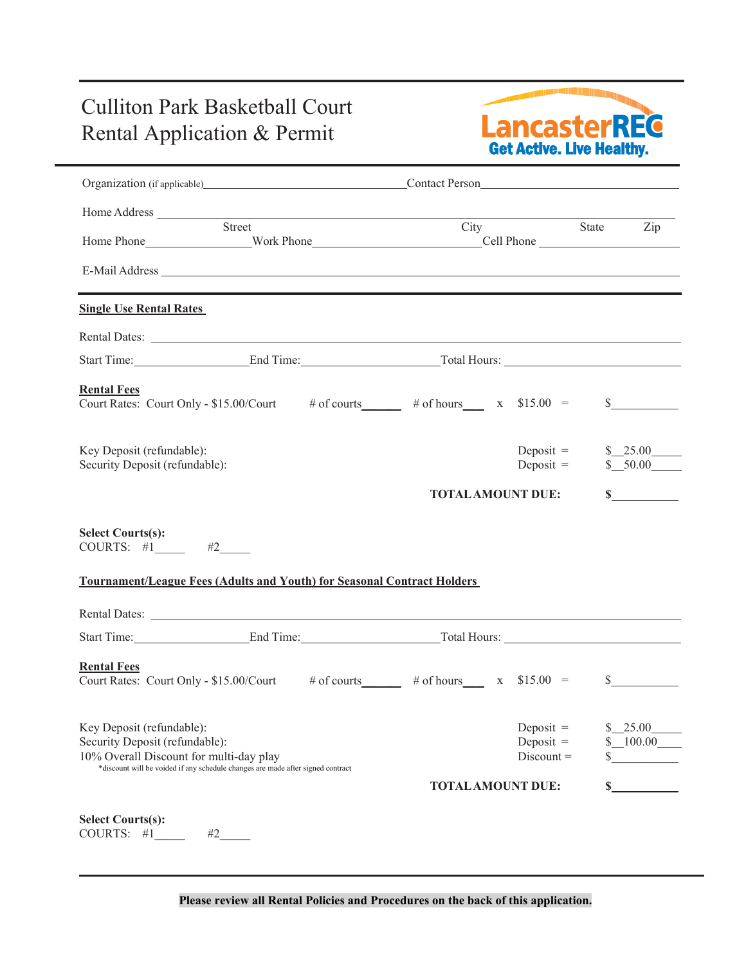## Culliton Park Basketball Court



|                                                                                                                                                                                                                                                                                   | Organization (if applicable) Contact Person                                                                                                                                                                                          |                          |                                            |               |                                  |
|-----------------------------------------------------------------------------------------------------------------------------------------------------------------------------------------------------------------------------------------------------------------------------------|--------------------------------------------------------------------------------------------------------------------------------------------------------------------------------------------------------------------------------------|--------------------------|--------------------------------------------|---------------|----------------------------------|
|                                                                                                                                                                                                                                                                                   |                                                                                                                                                                                                                                      |                          |                                            |               |                                  |
|                                                                                                                                                                                                                                                                                   | Street                                                                                                                                                                                                                               | City                     |                                            | State Zip     |                                  |
|                                                                                                                                                                                                                                                                                   |                                                                                                                                                                                                                                      |                          |                                            |               |                                  |
| <b>Single Use Rental Rates</b>                                                                                                                                                                                                                                                    |                                                                                                                                                                                                                                      |                          |                                            |               |                                  |
|                                                                                                                                                                                                                                                                                   | Rental Dates: <u>Queen Contract Contract Contract Contract Contract Contract Contract Contract Contract Contract Contract Contract Contract Contract Contract Contract Contract Contract Contract Contract Contract Contract Con</u> |                          |                                            |               |                                  |
|                                                                                                                                                                                                                                                                                   | Start Time: End Time: End Time: Total Hours:                                                                                                                                                                                         |                          |                                            |               |                                  |
| <b>Rental Fees</b>                                                                                                                                                                                                                                                                | Court Rates: Court Only - \$15.00/Court # of courts # of hours x \$15.00 =                                                                                                                                                           |                          |                                            | s             |                                  |
|                                                                                                                                                                                                                                                                                   |                                                                                                                                                                                                                                      |                          |                                            |               |                                  |
|                                                                                                                                                                                                                                                                                   |                                                                                                                                                                                                                                      |                          | Deposit $=$<br>Deposit $=$                 | \$25.00       |                                  |
|                                                                                                                                                                                                                                                                                   |                                                                                                                                                                                                                                      | <b>TOTAL AMOUNT DUE:</b> |                                            |               |                                  |
|                                                                                                                                                                                                                                                                                   | <b>Tournament/League Fees (Adults and Youth) for Seasonal Contract Holders</b>                                                                                                                                                       |                          |                                            |               |                                  |
|                                                                                                                                                                                                                                                                                   | Start Time: End Time: End Time: Total Hours:                                                                                                                                                                                         |                          |                                            |               |                                  |
|                                                                                                                                                                                                                                                                                   | Court Rates: Court Only - \$15.00/Court # of courts # of hours x \$15.00 =                                                                                                                                                           |                          |                                            | $\mathbb{S}$  |                                  |
| Key Deposit (refundable):<br>Security Deposit (refundable):<br><b>Select Courts(s):</b><br>COURTS: $\sharp 1$ $\qquad \sharp 2$ $\qquad \sharp 2$<br><b>Rental Fees</b><br>Key Deposit (refundable):<br>Security Deposit (refundable):<br>10% Overall Discount for multi-day play | *discount will be voided if any schedule changes are made after signed contract                                                                                                                                                      |                          | Deposit $=$<br>Deposit $=$<br>$Discount =$ | \$25.00<br>\$ | \$50.00<br>$\mathbf S$<br>100.00 |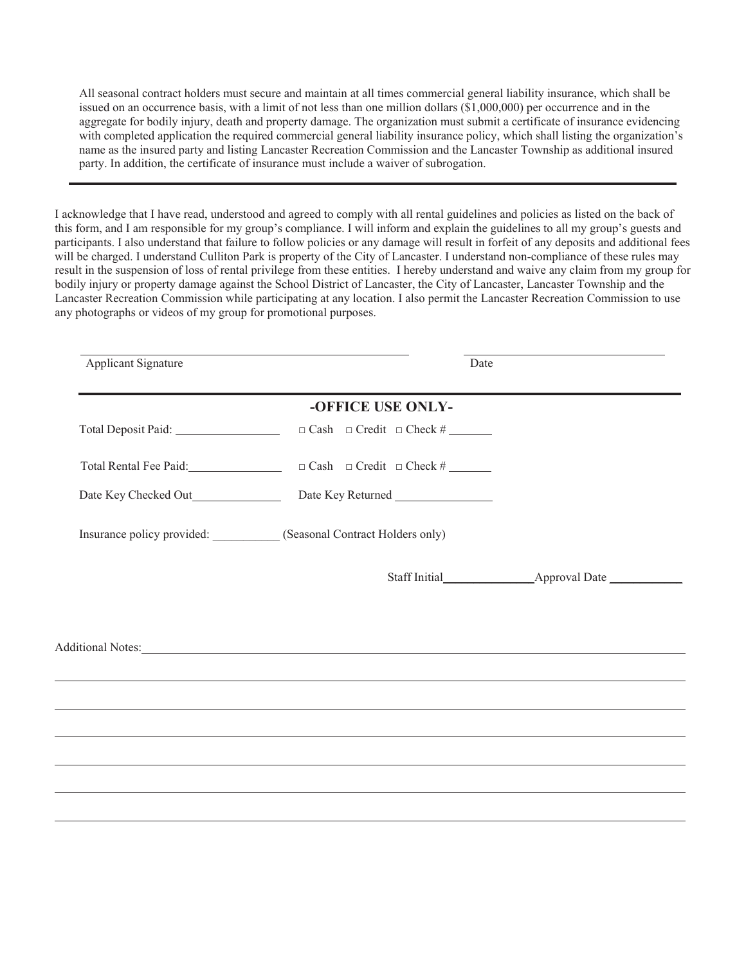All seasonal contract holders must secure and maintain at all times commercial general liability insurance, which shall be issued on an occurrence basis, with a limit of not less than one million dollars (\$1,000,000) per occurrence and in the aggregate for bodily injury, death and property damage. The organization must submit a certificate of insurance evidencing with completed application the required commercial general liability insurance policy, which shall listing the organization's name as the insured party and listing Lancaster Recreation Commission and the Lancaster Township as additional insured party. In addition, the certificate of insurance must include a waiver of subrogation.

I acknowledge that I have read, understood and agreed to comply with all rental guidelines and policies as listed on the back of this form, and I am responsible for my group's compliance. I will inform and explain the guidelines to all my group's guests and participants. I also understand that failure to follow policies or any damage will result in forfeit of any deposits and additional fees will be charged. I understand Culliton Park is property of the City of Lancaster. I understand non-compliance of these rules may result in the suspension of loss of rental privilege from these entities. I hereby understand and waive any claim from my group for bodily injury or property damage against the School District of Lancaster, the City of Lancaster, Lancaster Township and the Lancaster Recreation Commission while participating at any location. I also permit the Lancaster Recreation Commission to use any photographs or videos of my group for promotional purposes.

| Applicant Signature | Date                                                                                                                                                                                                                           |  |
|---------------------|--------------------------------------------------------------------------------------------------------------------------------------------------------------------------------------------------------------------------------|--|
|                     | -OFFICE USE ONLY-                                                                                                                                                                                                              |  |
|                     |                                                                                                                                                                                                                                |  |
|                     |                                                                                                                                                                                                                                |  |
|                     |                                                                                                                                                                                                                                |  |
|                     | Insurance policy provided: ___________ (Seasonal Contract Holders only)                                                                                                                                                        |  |
|                     |                                                                                                                                                                                                                                |  |
|                     |                                                                                                                                                                                                                                |  |
|                     | Additional Notes: Notes: Additional Notes: Notes: Notes: Notes: Notes: Notes: Notes: Notes: Notes: Notes: Notes: Notes: Notes: Notes: Notes: Notes: Notes: Notes: Notes: Notes: Notes: Notes: Notes: Notes: Notes: Notes: Note |  |
|                     | ,我们也不会有什么。""我们的人,我们也不会有什么?""我们的人,我们也不会有什么?""我们的人,我们也不会有什么?""我们的人,我们也不会有什么?""我们的人                                                                                                                                               |  |
|                     |                                                                                                                                                                                                                                |  |
|                     | ,我们也不会有什么?""我们的人,我们也不会有什么?""我们的人,我们也不会有什么?""我们的人,我们也不会有什么?""我们的人,我们也不会有什么?""我们的人                                                                                                                                               |  |
|                     |                                                                                                                                                                                                                                |  |
|                     |                                                                                                                                                                                                                                |  |
|                     |                                                                                                                                                                                                                                |  |
|                     |                                                                                                                                                                                                                                |  |